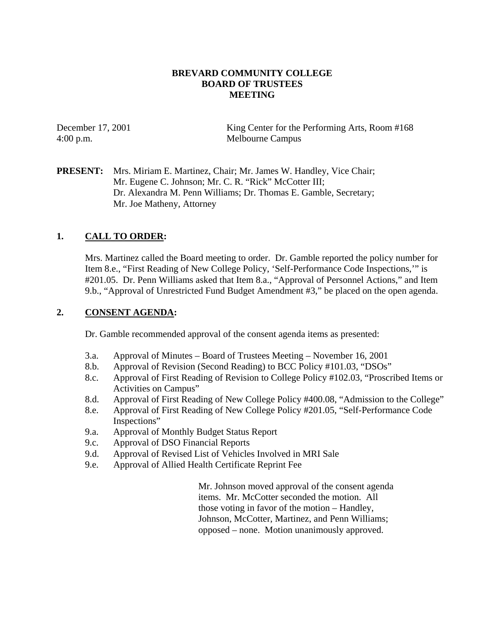### **BREVARD COMMUNITY COLLEGE BOARD OF TRUSTEES MEETING**

December 17, 2001 King Center for the Performing Arts, Room #168 4:00 p.m. Melbourne Campus

**PRESENT:** Mrs. Miriam E. Martinez, Chair; Mr. James W. Handley, Vice Chair; Mr. Eugene C. Johnson; Mr. C. R. "Rick" McCotter III; Dr. Alexandra M. Penn Williams; Dr. Thomas E. Gamble, Secretary; Mr. Joe Matheny, Attorney

## **1. CALL TO ORDER:**

Mrs. Martinez called the Board meeting to order. Dr. Gamble reported the policy number for Item 8.e., "First Reading of New College Policy, 'Self-Performance Code Inspections,'" is #201.05. Dr. Penn Williams asked that Item 8.a., "Approval of Personnel Actions," and Item 9.b., "Approval of Unrestricted Fund Budget Amendment #3," be placed on the open agenda.

### **2. CONSENT AGENDA:**

Dr. Gamble recommended approval of the consent agenda items as presented:

- 3.a. Approval of Minutes Board of Trustees Meeting November 16, 2001
- 8.b. Approval of Revision (Second Reading) to BCC Policy #101.03, "DSOs"
- 8.c. Approval of First Reading of Revision to College Policy #102.03, "Proscribed Items or Activities on Campus"
- 8.d. Approval of First Reading of New College Policy #400.08, "Admission to the College"
- 8.e. Approval of First Reading of New College Policy #201.05, "Self-Performance Code Inspections"
- 9.a. Approval of Monthly Budget Status Report
- 9.c. Approval of DSO Financial Reports
- 9.d. Approval of Revised List of Vehicles Involved in MRI Sale
- 9.e. Approval of Allied Health Certificate Reprint Fee

Mr. Johnson moved approval of the consent agenda items. Mr. McCotter seconded the motion. All those voting in favor of the motion – Handley, Johnson, McCotter, Martinez, and Penn Williams; opposed – none. Motion unanimously approved.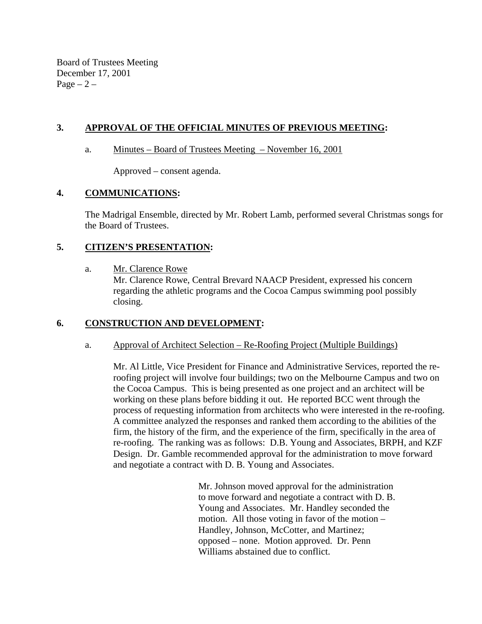Board of Trustees Meeting December 17, 2001 Page  $-2$  –

## **3. APPROVAL OF THE OFFICIAL MINUTES OF PREVIOUS MEETING:**

#### a. Minutes – Board of Trustees Meeting – November 16, 2001

Approved – consent agenda.

### **4. COMMUNICATIONS:**

The Madrigal Ensemble, directed by Mr. Robert Lamb, performed several Christmas songs for the Board of Trustees.

### **5. CITIZEN'S PRESENTATION:**

a. Mr. Clarence Rowe

Mr. Clarence Rowe, Central Brevard NAACP President, expressed his concern regarding the athletic programs and the Cocoa Campus swimming pool possibly closing.

## **6. CONSTRUCTION AND DEVELOPMENT:**

### a. Approval of Architect Selection – Re-Roofing Project (Multiple Buildings)

Mr. Al Little, Vice President for Finance and Administrative Services, reported the reroofing project will involve four buildings; two on the Melbourne Campus and two on the Cocoa Campus. This is being presented as one project and an architect will be working on these plans before bidding it out. He reported BCC went through the process of requesting information from architects who were interested in the re-roofing. A committee analyzed the responses and ranked them according to the abilities of the firm, the history of the firm, and the experience of the firm, specifically in the area of re-roofing. The ranking was as follows: D.B. Young and Associates, BRPH, and KZF Design. Dr. Gamble recommended approval for the administration to move forward and negotiate a contract with D. B. Young and Associates.

> Mr. Johnson moved approval for the administration to move forward and negotiate a contract with D. B. Young and Associates. Mr. Handley seconded the motion. All those voting in favor of the motion – Handley, Johnson, McCotter, and Martinez; opposed – none. Motion approved. Dr. Penn Williams abstained due to conflict.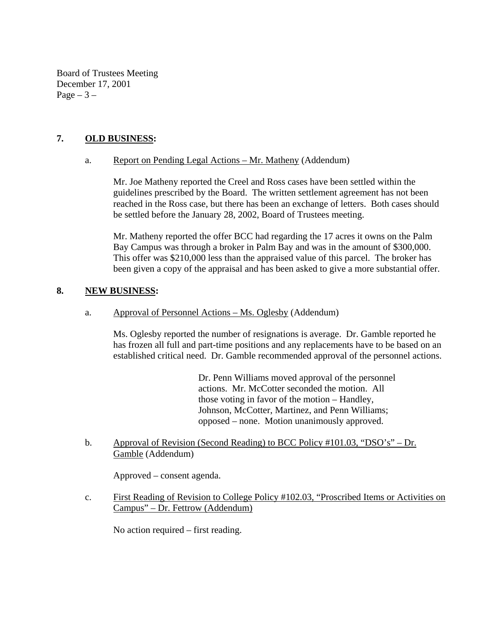Board of Trustees Meeting December 17, 2001 Page  $-3-$ 

### **7. OLD BUSINESS:**

### a. Report on Pending Legal Actions – Mr. Matheny (Addendum)

Mr. Joe Matheny reported the Creel and Ross cases have been settled within the guidelines prescribed by the Board. The written settlement agreement has not been reached in the Ross case, but there has been an exchange of letters. Both cases should be settled before the January 28, 2002, Board of Trustees meeting.

Mr. Matheny reported the offer BCC had regarding the 17 acres it owns on the Palm Bay Campus was through a broker in Palm Bay and was in the amount of \$300,000. This offer was \$210,000 less than the appraised value of this parcel. The broker has been given a copy of the appraisal and has been asked to give a more substantial offer.

### **8. NEW BUSINESS:**

a. Approval of Personnel Actions – Ms. Oglesby (Addendum)

Ms. Oglesby reported the number of resignations is average. Dr. Gamble reported he has frozen all full and part-time positions and any replacements have to be based on an established critical need. Dr. Gamble recommended approval of the personnel actions.

> Dr. Penn Williams moved approval of the personnel actions. Mr. McCotter seconded the motion. All those voting in favor of the motion – Handley, Johnson, McCotter, Martinez, and Penn Williams; opposed – none. Motion unanimously approved.

b. Approval of Revision (Second Reading) to BCC Policy #101.03, "DSO's" – Dr. Gamble (Addendum)

Approved – consent agenda.

c. First Reading of Revision to College Policy #102.03, "Proscribed Items or Activities on Campus" – Dr. Fettrow (Addendum)

No action required – first reading.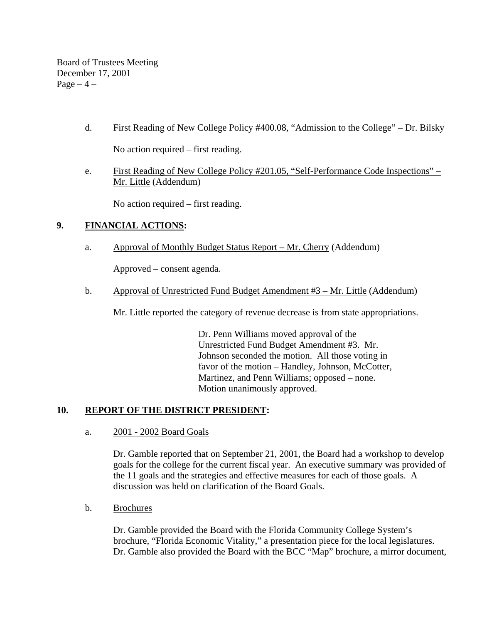Board of Trustees Meeting December 17, 2001 Page  $-4$  –

d. First Reading of New College Policy #400.08, "Admission to the College" – Dr. Bilsky

No action required – first reading.

e. First Reading of New College Policy #201.05, "Self-Performance Code Inspections" – Mr. Little (Addendum)

No action required – first reading.

# **9. FINANCIAL ACTIONS:**

a. Approval of Monthly Budget Status Report – Mr. Cherry (Addendum)

Approved – consent agenda.

b. Approval of Unrestricted Fund Budget Amendment #3 – Mr. Little (Addendum)

Mr. Little reported the category of revenue decrease is from state appropriations.

Dr. Penn Williams moved approval of the Unrestricted Fund Budget Amendment #3. Mr. Johnson seconded the motion. All those voting in favor of the motion – Handley, Johnson, McCotter, Martinez, and Penn Williams; opposed – none. Motion unanimously approved.

## **10. REPORT OF THE DISTRICT PRESIDENT:**

a. 2001 - 2002 Board Goals

Dr. Gamble reported that on September 21, 2001, the Board had a workshop to develop goals for the college for the current fiscal year. An executive summary was provided of the 11 goals and the strategies and effective measures for each of those goals. A discussion was held on clarification of the Board Goals.

b. Brochures

Dr. Gamble provided the Board with the Florida Community College System's brochure, "Florida Economic Vitality," a presentation piece for the local legislatures. Dr. Gamble also provided the Board with the BCC "Map" brochure, a mirror document,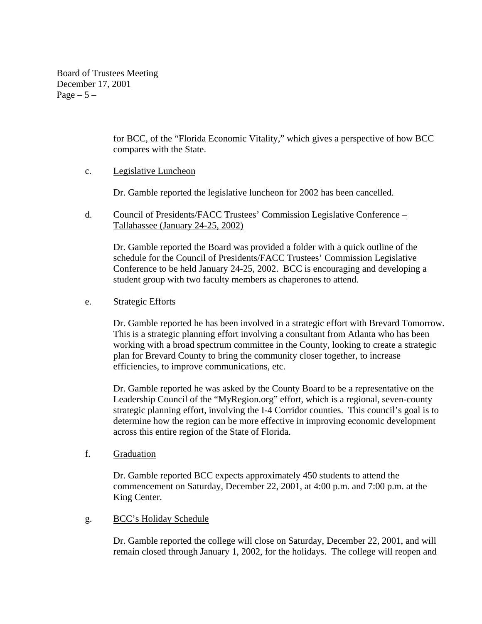Board of Trustees Meeting December 17, 2001 Page  $-5-$ 

> for BCC, of the "Florida Economic Vitality," which gives a perspective of how BCC compares with the State.

### c. Legislative Luncheon

Dr. Gamble reported the legislative luncheon for 2002 has been cancelled.

d. Council of Presidents/FACC Trustees' Commission Legislative Conference – Tallahassee (January 24-25, 2002)

Dr. Gamble reported the Board was provided a folder with a quick outline of the schedule for the Council of Presidents/FACC Trustees' Commission Legislative Conference to be held January 24-25, 2002. BCC is encouraging and developing a student group with two faculty members as chaperones to attend.

#### e. Strategic Efforts

Dr. Gamble reported he has been involved in a strategic effort with Brevard Tomorrow. This is a strategic planning effort involving a consultant from Atlanta who has been working with a broad spectrum committee in the County, looking to create a strategic plan for Brevard County to bring the community closer together, to increase efficiencies, to improve communications, etc.

Dr. Gamble reported he was asked by the County Board to be a representative on the Leadership Council of the "MyRegion.org" effort, which is a regional, seven-county strategic planning effort, involving the I-4 Corridor counties. This council's goal is to determine how the region can be more effective in improving economic development across this entire region of the State of Florida.

f. Graduation

Dr. Gamble reported BCC expects approximately 450 students to attend the commencement on Saturday, December 22, 2001, at 4:00 p.m. and 7:00 p.m. at the King Center.

### g. BCC's Holiday Schedule

Dr. Gamble reported the college will close on Saturday, December 22, 2001, and will remain closed through January 1, 2002, for the holidays. The college will reopen and